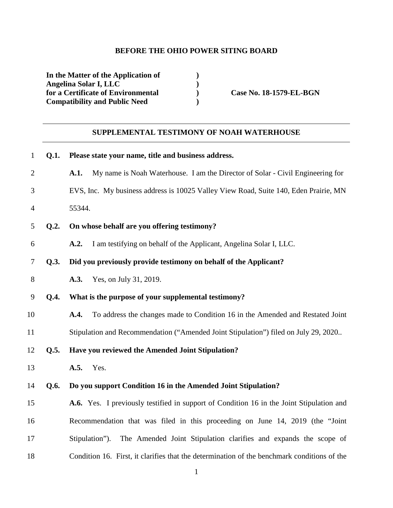### **BEFORE THE OHIO POWER SITING BOARD**

**In the Matter of the Application of ) Angelina Solar I, LLC** (**p** ) **o for a Certificate of Environmental** (**p** ) for a Certificate of Environmental **Case No. 18-1579-EL-BGN Compatibility and Public Need )** 

# **SUPPLEMENTAL TESTIMONY OF NOAH WATERHOUSE**

| $\mathbf{1}$   | Q.1. | Please state your name, title and business address.                                         |
|----------------|------|---------------------------------------------------------------------------------------------|
| $\overline{2}$ |      | My name is Noah Waterhouse. I am the Director of Solar - Civil Engineering for<br>A.1.      |
| 3              |      | EVS, Inc. My business address is 10025 Valley View Road, Suite 140, Eden Prairie, MN        |
| $\overline{4}$ |      | 55344.                                                                                      |
| 5              | Q.2. | On whose behalf are you offering testimony?                                                 |
| 6              |      | I am testifying on behalf of the Applicant, Angelina Solar I, LLC.<br>A.2.                  |
| 7              | Q.3. | Did you previously provide testimony on behalf of the Applicant?                            |
| 8              |      | Yes, on July 31, 2019.<br>A.3.                                                              |
| 9              | Q.4. | What is the purpose of your supplemental testimony?                                         |
| 10             |      | To address the changes made to Condition 16 in the Amended and Restated Joint<br>A.4.       |
| 11             |      | Stipulation and Recommendation ("Amended Joint Stipulation") filed on July 29, 2020         |
| 12             | Q.5. | Have you reviewed the Amended Joint Stipulation?                                            |
| 13             |      | Yes.<br>A.5.                                                                                |
| 14             | Q.6. | Do you support Condition 16 in the Amended Joint Stipulation?                               |
| 15             |      | A.6. Yes. I previously testified in support of Condition 16 in the Joint Stipulation and    |
| 16             |      | Recommendation that was filed in this proceeding on June 14, 2019 (the "Joint               |
| 17             |      | The Amended Joint Stipulation clarifies and expands the scope of<br>Stipulation").          |
| 18             |      | Condition 16. First, it clarifies that the determination of the benchmark conditions of the |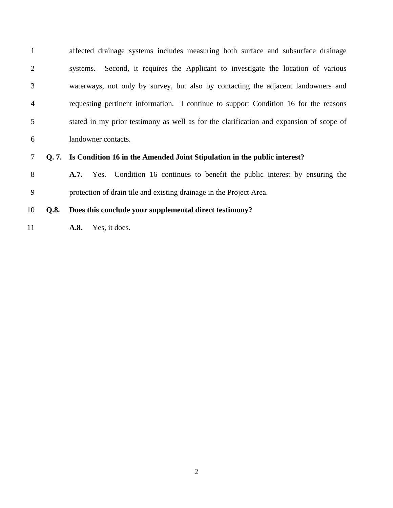1 affected drainage systems includes measuring both surface and subsurface drainage 2 systems. Second, it requires the Applicant to investigate the location of various 3 waterways, not only by survey, but also by contacting the adjacent landowners and 4 requesting pertinent information. I continue to support Condition 16 for the reasons 5 stated in my prior testimony as well as for the clarification and expansion of scope of 6 landowner contacts.

7 **Q. 7. Is Condition 16 in the Amended Joint Stipulation in the public interest?**

8 **A.7.** Yes. Condition 16 continues to benefit the public interest by ensuring the 9 protection of drain tile and existing drainage in the Project Area.

## 10 **Q.8. Does this conclude your supplemental direct testimony?**

11 **A.8.** Yes, it does.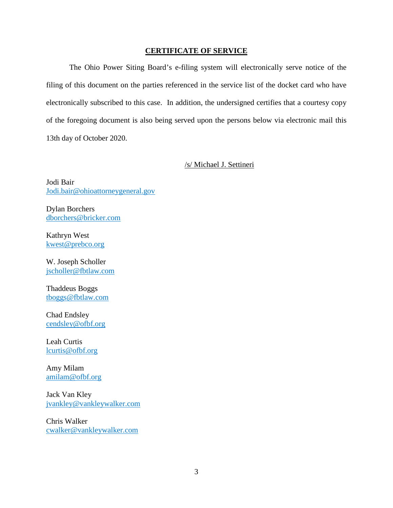#### **CERTIFICATE OF SERVICE**

The Ohio Power Siting Board's e-filing system will electronically serve notice of the filing of this document on the parties referenced in the service list of the docket card who have electronically subscribed to this case. In addition, the undersigned certifies that a courtesy copy of the foregoing document is also being served upon the persons below via electronic mail this 13th day of October 2020.

#### /s/ Michael J. Settineri

Jodi Bair Jodi.bair@ohioattorneygeneral.gov

Dylan Borchers dborchers@bricker.com

Kathryn West kwest@prebco.org

W. Joseph Scholler jscholler@fbtlaw.com

Thaddeus Boggs tboggs@fbtlaw.com

Chad Endsley cendsley@ofbf.org

Leah Curtis lcurtis@ofbf.org

Amy Milam amilam@ofbf.org

Jack Van Kley jvankley@vankleywalker.com

Chris Walker cwalker@vankleywalker.com